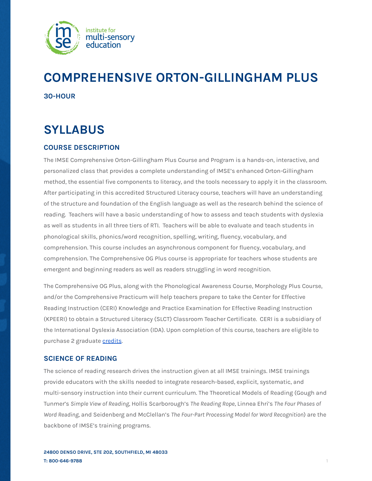

# **COMPREHENSIVE ORTON-GILLINGHAM PLUS 30-HOUR**

# **SYLLABUS**

# **COURSE DESCRIPTION**

The IMSE Comprehensive Orton-Gillingham Plus Course and Program is a hands-on, interactive, and personalized class that provides a complete understanding of IMSE's enhanced Orton-Gillingham method, the essential five components to literacy, and the tools necessary to apply it in the classroom. After participating in this accredited Structured Literacy course, teachers will have an understanding of the structure and foundation of the English language as well as the research behind the science of reading. Teachers will have a basic understanding of how to assess and teach students with dyslexia as well as students in all three tiers of RTI. Teachers will be able to evaluate and teach students in phonological skills, phonics/word recognition, spelling, writing, fluency, vocabulary, and comprehension. This course includes an asynchronous component for fluency, vocabulary, and comprehension. The Comprehensive OG Plus course is appropriate for teachers whose students are emergent and beginning readers as well as readers struggling in word recognition.

The Comprehensive OG Plus, along with the Phonological Awareness Course, Morphology Plus Course, and/or the Comprehensive Practicum will help teachers prepare to take the Center for Effective Reading Instruction (CERI) Knowledge and Practice Examination for Effective Reading Instruction (KPEERI) to obtain a Structured Literacy (SLCT) Classroom Teacher Certificate. CERI is a subsidiary of the International Dyslexia Association (IDA). Upon completion of this course, teachers are eligible to purchase 2 graduate [credits](https://imse.com/state-college-credits/).

# **SCIENCE OF READING**

The science of reading research drives the instruction given at all IMSE trainings. IMSE trainings provide educators with the skills needed to integrate research-based, explicit, systematic, and multi-sensory instruction into their current curriculum. The Theoretical Models of Reading (Gough and Tunmer's *Simple View of Reading*, Hollis Scarborough's *The Reading Rope*, Linnea Ehri's *The Four Phases of Word Reading*, and Seidenberg and McClellan's *The Four-Part Processing Model for Word Recognition*) are the backbone of IMSE's training programs.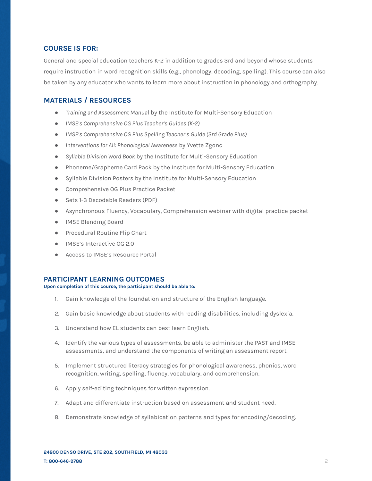### **COURSE IS FOR:**

General and special education teachers K-2 in addition to grades 3rd and beyond whose students require instruction in word recognition skills (e.g., phonology, decoding, spelling). This course can also be taken by any educator who wants to learn more about instruction in phonology and orthography.

# **MATERIALS / RESOURCES**

- *Training and Assessment Manua*l by the Institute for Multi-Sensory Education
- *● IMSE's Comprehensive OG Plus Teacher's Guides (K-2)*
- *● IMSE's Comprehensive OG Plus Spelling Teacher's Guide (3rd Grade Plus)*
- *Interventions for All: Phonological Awareness* by Yvette Zgonc
- *Syllable Division Word Book* by the Institute for Multi-Sensory Education
- Phoneme/Grapheme Card Pack by the Institute for Multi-Sensory Education
- Syllable Division Posters by the Institute for Multi-Sensory Education
- Comprehensive OG Plus Practice Packet
- Sets 1-3 Decodable Readers (PDF)
- Asynchronous Fluency, Vocabulary, Comprehension webinar with digital practice packet
- IMSE Blending Board
- Procedural Routine Flip Chart
- IMSE's Interactive OG 2.0
- Access to IMSE's Resource Portal

#### **PARTICIPANT LEARNING OUTCOMES**

**Upon completion of this course, the participant should be able to:**

- 1. Gain knowledge of the foundation and structure of the English language.
- 2. Gain basic knowledge about students with reading disabilities, including dyslexia.
- 3. Understand how EL students can best learn English.
- 4. Identify the various types of assessments, be able to administer the PAST and IMSE assessments, and understand the components of writing an assessment report.
- 5. Implement structured literacy strategies for phonological awareness, phonics, word recognition, writing, spelling, fluency, vocabulary, and comprehension.
- 6. Apply self-editing techniques for written expression.
- 7. Adapt and differentiate instruction based on assessment and student need.
- 8. Demonstrate knowledge of syllabication patterns and types for encoding/decoding.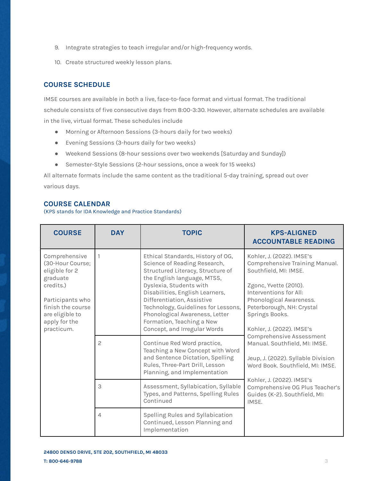- 9. Integrate strategies to teach irregular and/or high-frequency words.
- 10. Create structured weekly lesson plans.

# **COURSE SCHEDULE**

IMSE courses are available in both a live, face-to-face format and virtual format. The traditional schedule consists of five consecutive days from 8:00-3:30. However, alternate schedules are available in the live, virtual format. These schedules include

- Morning or Afternoon Sessions (3-hours daily for two weeks)
- Evening Sessions (3-hours daily for two weeks)
- Weekend Sessions (8-hour sessions over two weekends [Saturday and Sunday])
- Semester-Style Sessions (2-hour sessions, once a week for 15 weeks)

All alternate formats include the same content as the traditional 5-day training, spread out over various days.

# **COURSE CALENDAR**

(KPS stands for IDA Knowledge and Practice Standards)

| <b>COURSE</b>                                                                                                                                                           | <b>DAY</b>     | <b>TOPIC</b>                                                                                                                                                                                                                                                                                                                                                            | <b>KPS-ALIGNED</b><br><b>ACCOUNTABLE READING</b>                                                                                                                                                                                                                                                                                                                                      |
|-------------------------------------------------------------------------------------------------------------------------------------------------------------------------|----------------|-------------------------------------------------------------------------------------------------------------------------------------------------------------------------------------------------------------------------------------------------------------------------------------------------------------------------------------------------------------------------|---------------------------------------------------------------------------------------------------------------------------------------------------------------------------------------------------------------------------------------------------------------------------------------------------------------------------------------------------------------------------------------|
| Comprehensive<br>(30-Hour Course;<br>eligible for 2<br>graduate<br>credits.)<br>Participants who<br>finish the course<br>are eligible to<br>apply for the<br>practicum. |                | Ethical Standards, History of OG,<br>Science of Reading Research,<br>Structured Literacy, Structure of<br>the English language, MTSS,<br>Dyslexia, Students with<br>Disabilities, English Learners,<br>Differentiation, Assistive<br>Technology, Guidelines for Lessons,<br>Phonological Awareness, Letter<br>Formation, Teaching a New<br>Concept, and Irregular Words | Kohler, J. (2022). IMSE's<br>Comprehensive Training Manual.<br>Southfield, MI: IMSE.<br>Zgonc, Yvette (2010).<br>Interventions for All:<br>Phonological Awareness.<br>Peterborough, NH: Crystal<br>Springs Books.<br>Kohler, J. (2022). IMSE's<br>Comprehensive Assessment<br>Manual. Southfield, MI: IMSE.<br>Jeup, J. (2022). Syllable Division<br>Word Book. Southfield, MI: IMSE. |
|                                                                                                                                                                         | $\overline{c}$ | Continue Red Word practice,<br>Teaching a New Concept with Word<br>and Sentence Dictation, Spelling<br>Rules, Three-Part Drill, Lesson<br>Planning, and Implementation                                                                                                                                                                                                  |                                                                                                                                                                                                                                                                                                                                                                                       |
|                                                                                                                                                                         | 3              | Assessment, Syllabication, Syllable<br>Types, and Patterns, Spelling Rules<br>Continued                                                                                                                                                                                                                                                                                 | Kohler, J. (2022). IMSE's<br>Comprehensive OG Plus Teacher's<br>Guides (K-2). Southfield, MI:<br>IMSE.                                                                                                                                                                                                                                                                                |
|                                                                                                                                                                         | $\overline{4}$ | Spelling Rules and Syllabication<br>Continued, Lesson Planning and<br>Implementation                                                                                                                                                                                                                                                                                    |                                                                                                                                                                                                                                                                                                                                                                                       |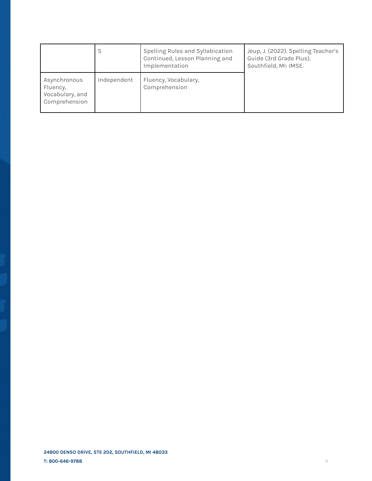|                                                              | 5           | Spelling Rules and Syllabication<br>Continued, Lesson Planning and<br>Implementation | Jeup, J. (2022). Spelling Teacher's<br>Guide (3rd Grade Plus).<br>Southfield, MI: IMSE. |
|--------------------------------------------------------------|-------------|--------------------------------------------------------------------------------------|-----------------------------------------------------------------------------------------|
| Asynchronous<br>Fluency,<br>Vocabulary, and<br>Comprehension | Independent | Fluency, Vocabulary,<br>Comprehension                                                |                                                                                         |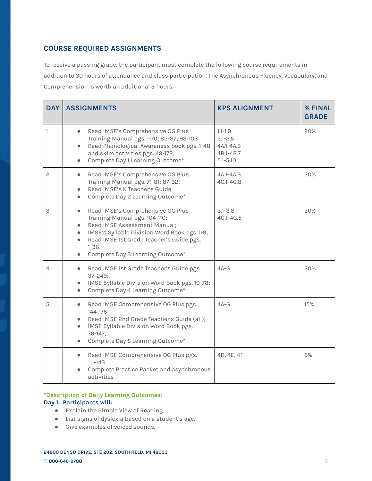# **COURSE REQUIRED ASSIGNMENTS**

To receive a passing grade, the participant must complete the following course requirements in addition to 30 hours of attendance and class participation. The Asynchronous Fluency, Vocabulary, and Comprehension is worth an additional 3 hours.

| <b>DAY</b>   | <b>ASSIGNMENTS</b>                                                                                                                                                                                                                                                                                               | <b>KPS ALIGNMENT</b>                                                 | % FINAL<br><b>GRADE</b> |
|--------------|------------------------------------------------------------------------------------------------------------------------------------------------------------------------------------------------------------------------------------------------------------------------------------------------------------------|----------------------------------------------------------------------|-------------------------|
| 1            | Read IMSE's Comprehensive OG Plus<br>$\bullet$<br>Training Manual pgs. 1-70; 82-87; 93-103<br>Read Phonological Awareness book pgs. 1-48<br>$\bullet$<br>and skim activities pgs. 49-172;<br>Complete Day 1 Learning Outcome*<br>$\bullet$                                                                       | $1.1 - 1.9$<br>$2.1 - 2.5$<br>4A.1-4A.3<br>4B.1-4B.7<br>$5.1 - 5.10$ | 20%                     |
| $\mathbf{2}$ | Read IMSE's Comprehensive OG Plus<br>$\bullet$<br>Training Manual pgs. 71-81; 87-92;<br>Read IMSE's K Teacher's Guide;<br>$\bullet$<br>Complete Day 2 Learning Outcome*<br>$\bullet$                                                                                                                             | 4A.1-4A.3<br>4C.1-4C.8                                               | 20%                     |
| 3            | Read IMSE's Comprehensive OG Plus<br>$\bullet$<br>Training Manual pgs. 104-110;<br>Read IMSE Assessment Manual;<br>$\bullet$<br>IMSE's Syllable Division Word Book pgs. 1-9;<br>$\bullet$<br>Read IMSE 1st Grade Teacher's Guide pgs.<br>$\bullet$<br>$1 - 36;$<br>Complete Day 3 Learning Outcome*<br>$\bullet$ | $3.1 - 3.8$<br>$4G.1 - 4G.5$                                         | 20%                     |
| 4            | Read IMSE 1st Grade Teacher's Guide pgs.<br>$\bullet$<br>$37 - 249$ ;<br>IMSE Syllable Division Word Book pgs. 10-78;<br>$\bullet$<br>Complete Day 4 Learning Outcome*<br>$\bullet$                                                                                                                              | $4A-G$                                                               | 20%                     |
| 5            | Read IMSE Comprehensive OG Plus pgs.<br>$\bullet$<br>144-175<br>Read IMSE 2nd Grade Teacher's Guide (all);<br>IMSE Syllable Division Word Book pgs.<br>$\bullet$<br>79-147;<br>Complete Day 5 Learning Outcome*<br>$\bullet$                                                                                     | $4A-G$                                                               | 15%                     |
|              | Read IMSE Comprehensive OG Plus pgs.<br>$\bullet$<br>$111 - 143$<br>Complete Practice Packet and asynchronous<br>activities                                                                                                                                                                                      | 4D, 4E, 4F                                                           | 5%                      |

## **\*Description of Daily Learning Outcomes:**

# **Day 1: Participants will:**

- Explain the Simple View of Reading.
- List signs of dyslexia based on a student's age.
- Give examples of voiced sounds.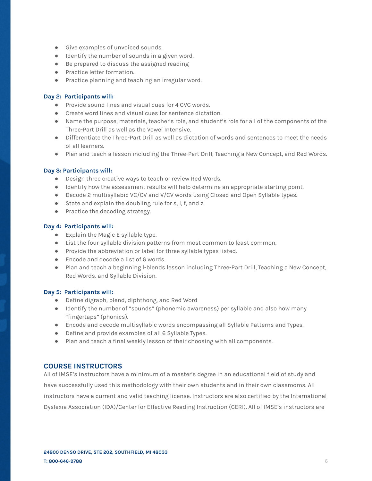- Give examples of unvoiced sounds.
- Identify the number of sounds in a given word.
- Be prepared to discuss the assigned reading
- Practice letter formation.
- Practice planning and teaching an irregular word.

#### **Day 2: Participants will:**

- Provide sound lines and visual cues for 4 CVC words.
- Create word lines and visual cues for sentence dictation.
- Name the purpose, materials, teacher's role, and student's role for all of the components of the Three-Part Drill as well as the Vowel Intensive.
- Differentiate the Three-Part Drill as well as dictation of words and sentences to meet the needs of all learners.
- Plan and teach a lesson including the Three-Part Drill, Teaching a New Concept, and Red Words.

#### **Day 3: Participants will:**

- Design three creative ways to teach or review Red Words.
- Identify how the assessment results will help determine an appropriate starting point.
- Decode 2 multisyllabic VC/CV and V/CV words using Closed and Open Syllable types.
- State and explain the doubling rule for s, l, f, and z.
- Practice the decoding strategy.

#### **Day 4: Participants will:**

- Explain the Magic E syllable type.
- List the four syllable division patterns from most common to least common.
- Provide the abbreviation or label for three syllable types listed.
- Encode and decode a list of 6 words.
- Plan and teach a beginning l-blends lesson including Three-Part Drill, Teaching a New Concept, Red Words, and Syllable Division.

#### **Day 5: Participants will:**

- Define digraph, blend, diphthong, and Red Word
- Identify the number of "sounds" (phonemic awareness) per syllable and also how many "fingertaps" (phonics).
- Encode and decode multisyllabic words encompassing all Syllable Patterns and Types.
- Define and provide examples of all 6 Syllable Types.
- Plan and teach a final weekly lesson of their choosing with all components.

#### **COURSE INSTRUCTORS**

All of IMSE's instructors have a minimum of a master's degree in an educational field of study and have successfully used this methodology with their own students and in their own classrooms. All instructors have a current and valid teaching license. Instructors are also certified by the International Dyslexia Association (IDA)/Center for Effective Reading Instruction (CERI). All of IMSE's instructors are